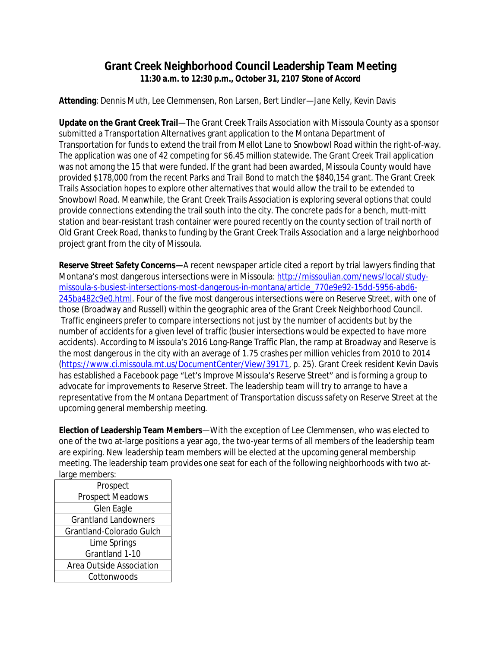## **Grant Creek Neighborhood Council Leadership Team Meeting 11:30 a.m. to 12:30 p.m., October 31, 2107 Stone of Accord**

**Attending**: Dennis Muth, Lee Clemmensen, Ron Larsen, Bert Lindler—Jane Kelly, Kevin Davis

**Update on the Grant Creek Trail**—The Grant Creek Trails Association with Missoula County as a sponsor submitted a Transportation Alternatives grant application to the Montana Department of Transportation for funds to extend the trail from Mellot Lane to Snowbowl Road within the right-of-way. The application was one of 42 competing for \$6.45 million statewide. The Grant Creek Trail application was not among the 15 that were funded. If the grant had been awarded, Missoula County would have provided \$178,000 from the recent Parks and Trail Bond to match the \$840,154 grant. The Grant Creek Trails Association hopes to explore other alternatives that would allow the trail to be extended to Snowbowl Road. Meanwhile, the Grant Creek Trails Association is exploring several options that could provide connections extending the trail south into the city. The concrete pads for a bench, mutt-mitt station and bear-resistant trash container were poured recently on the county section of trail north of Old Grant Creek Road, thanks to funding by the Grant Creek Trails Association and a large neighborhood project grant from the city of Missoula.

**Reserve Street Safety Concerns—**A recent newspaper article cited a report by trial lawyers finding that Montana's most dangerous intersections were in Missoula: [http://missoulian.com/news/local/study](http://missoulian.com/news/local/study-missoula-s-busiest-intersections-most-dangerous-in-montana/article_770e9e92-15dd-5956-abd6-245ba482c9e0.html)missoula-s-busiest-intersections-most-dangerous-in-montana/article\_770e9e92-15dd-5956-abd6- 245ba482c9e0.html. Four of the five most dangerous intersections were on Reserve Street, with one of those (Broadway and Russell) within the geographic area of the Grant Creek Neighborhood Council. Traffic engineers prefer to compare intersections not just by the number of accidents but by the number of accidents for a given level of traffic (busier intersections would be expected to have more accidents). According to Missoula's 2016 Long-Range Traffic Plan, the ramp at Broadway and Reserve is the most dangerous in the city with an average of 1.75 crashes per million vehicles from 2010 to 2014 [\(https://www.ci.missoula.mt.us/DocumentCenter/View/39171](https://www.ci.missoula.mt.us/DocumentCenter/View/39171), p. 25). Grant Creek resident Kevin Davis has established a Facebook page "Let's Improve Missoula's Reserve Street" and is forming a group to advocate for improvements to Reserve Street. The leadership team will try to arrange to have a representative from the Montana Department of Transportation discuss safety on Reserve Street at the upcoming general membership meeting.

**Election of Leadership Team Members**—With the exception of Lee Clemmensen, who was elected to one of the two at-large positions a year ago, the two-year terms of all members of the leadership team are expiring. New leadership team members will be elected at the upcoming general membership meeting. The leadership team provides one seat for each of the following neighborhoods with two atlarge members:

| Prospect                    |
|-----------------------------|
| <b>Prospect Meadows</b>     |
| Glen Eagle                  |
| <b>Grantland Landowners</b> |
| Grantland-Colorado Gulch    |
| Lime Springs                |
| Grantland 1-10              |
| Area Outside Association    |
| Cottonwoods                 |